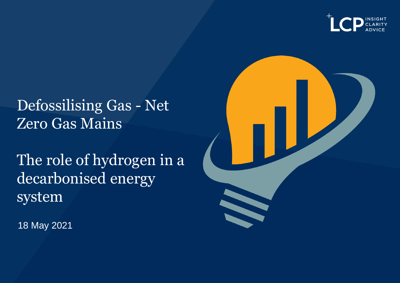

## Defossilising Gas - Net Zero Gas Mains

The role of hydrogen in a decarbonised energy system

18 May 2021

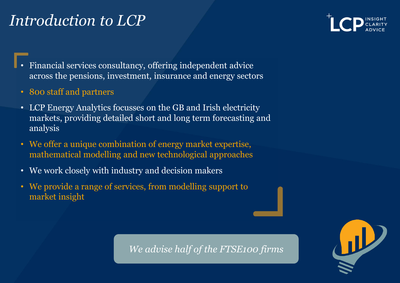## *Introduction to LCP*



- Financial services consultancy, offering independent advice across the pensions, investment, insurance and energy sectors
- 800 staff and partners
- LCP Energy Analytics focusses on the GB and Irish electricity markets, providing detailed short and long term forecasting and analysis
- We offer a unique combination of energy market expertise, mathematical modelling and new technological approaches
- We work closely with industry and decision makers
- We provide a range of services, from modelling support to market insight

*We advise half of the FTSE100 firms*

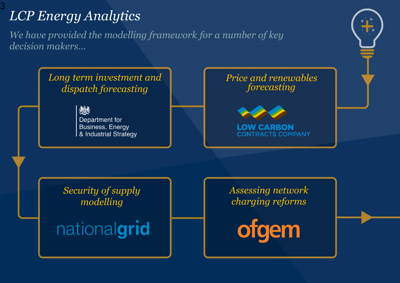# *LCP Energy Analytics*

3

*We have provided the modelling framework for a number of key decision makers…*

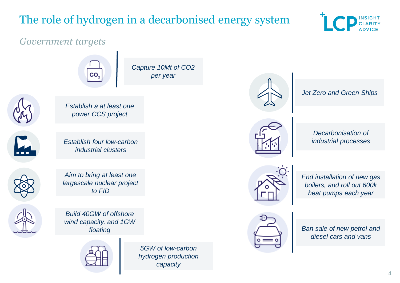## The role of hydrogen in a decarbonised energy system

*per year*



#### *Government targets*





*Aim to bring at least one largescale nuclear project to FID*

*Establish four low-carbon industrial clusters*



*Build 40GW of offshore wind capacity, and 1GW floating*



*5GW of low-carbon hydrogen production capacity*



*Jet Zero and Green Ships*



*Decarbonisation of industrial processes*



*End installation of new gas boilers, and roll out 600k heat pumps each year*



*Ban sale of new petrol and diesel cars and vans*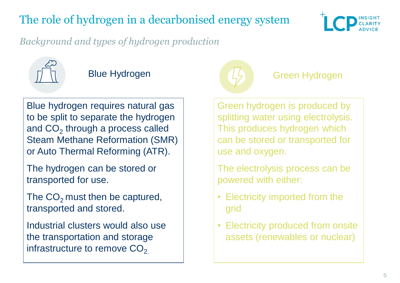## The role of hydrogen in a decarbonised energy system



*Background and types of hydrogen production*



Blue hydrogen requires natural gas to be split to separate the hydrogen and  $CO<sub>2</sub>$  through a process called Steam Methane Reformation (SMR) or Auto Thermal Reforming (ATR).

The hydrogen can be stored or transported for use.

The  $CO<sub>2</sub>$  must then be captured, transported and stored.

Industrial clusters would also use the transportation and storage infrastructure to remove  $CO<sub>2</sub>$ .



#### Blue Hydrogen Green Hydrogen

Green hydrogen is produced by splitting water using electrolysis. This produces hydrogen which can be stored or transported for use and oxygen.

The electrolysis process can be powered with either:

- Electricity imported from the grid
- Electricity produced from onsite assets (renewables or nuclear)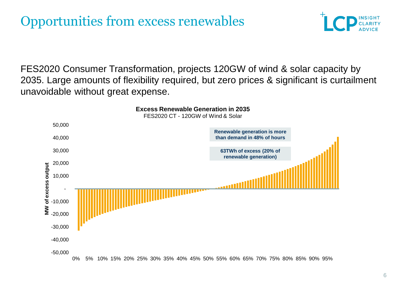

FES2020 Consumer Transformation, projects 120GW of wind & solar capacity by 2035. Large amounts of flexibility required, but zero prices & significant is curtailment unavoidable without great expense.

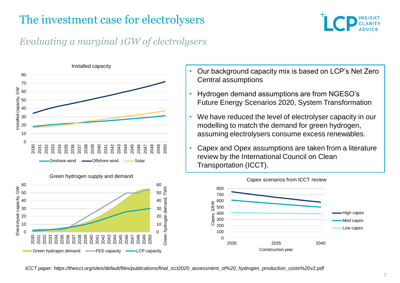

#### *Evaluating a marginal 1GW of electrolysers*



#### Green hydrogen supply and demand



- Our background capacity mix is based on LCP's Net Zero Central assumptions
- Hydrogen demand assumptions are from NGESO's Future Energy Scenarios 2020, System Transformation
- We have reduced the level of electrolyser capacity in our modelling to match the demand for green hydrogen, assuming electrolysers consume excess renewables.
- Capex and Opex assumptions are taken from a literature review by the International Council on Clean Transportation (ICCT).

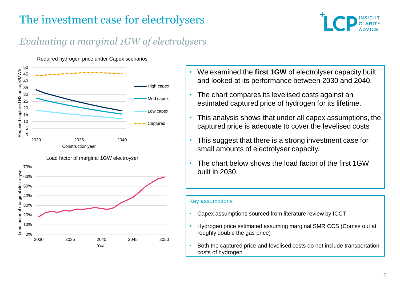

#### *Evaluating a marginal 1GW of electrolysers*

#### Required hydrogen price under Capex scenarios





- We examined the **first 1GW** of electrolyser capacity built and looked at its performance between 2030 and 2040.
- The chart compares its levelised costs against an estimated captured price of hydrogen for its lifetime.
- This analysis shows that under all capex assumptions, the captured price is adequate to cover the levelised costs
- This suggest that there is a strong investment case for small amounts of electrolyser capacity.
- The chart below shows the load factor of the first 1GW built in 2030.

#### Key assumptions

- Capex assumptions sourced from literature review by ICCT
- Hydrogen price estimated assuming marginal SMR CCS (Comes out at roughly double the gas price)
- Both the captured price and levelised costs do not include transportation costs of hydrogen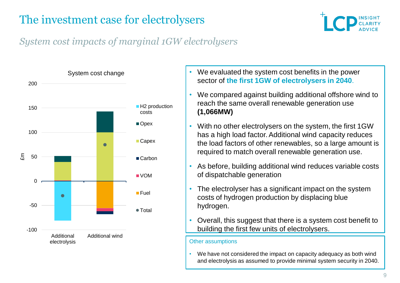

### *System cost impacts of marginal 1GW electrolysers*



- We evaluated the system cost benefits in the power sector of **the first 1GW of electrolysers in 2040**.
- We compared against building additional offshore wind to reach the same overall renewable generation use **(1,066MW)**
- With no other electrolysers on the system, the first 1GW has a high load factor. Additional wind capacity reduces the load factors of other renewables, so a large amount is required to match overall renewable generation use.
- As before, building additional wind reduces variable costs of dispatchable generation
- The electrolyser has a significant impact on the system costs of hydrogen production by displacing blue hydrogen.
- Overall, this suggest that there is a system cost benefit to building the first few units of electrolysers.

#### Other assumptions

• We have not considered the impact on capacity adequacy as both wind and electrolysis as assumed to provide minimal system security in 2040.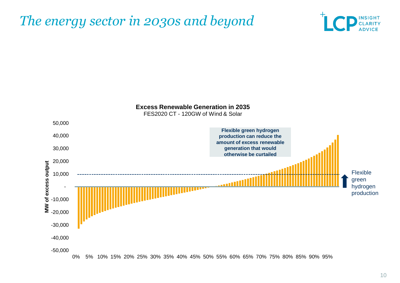## *The energy sector in 2030s and beyond*





0% 5% 10% 15% 20% 25% 30% 35% 40% 45% 50% 55% 60% 65% 70% 75% 80% 85% 90% 95%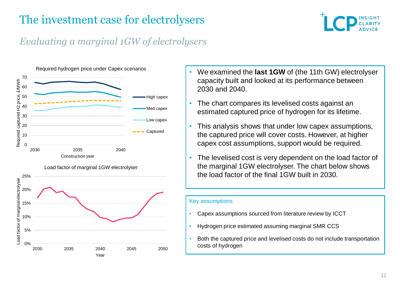

#### *Evaluating a marginal 1GW of electrolysers*





Load factor of marginal 1GW electrolyser

- We examined the **last 1GW** of (the 11th GW) electrolyser capacity built and looked at its performance between 2030 and 2040.
- The chart compares its levelised costs against an estimated captured price of hydrogen for its lifetime.
- This analysis shows that under low capex assumptions, the captured price will cover costs. However, at higher capex cost assumptions, support would be required.
- The levelised cost is very dependent on the load factor of the marginal 1GW electrolyser. The chart below shows the load factor of the final 1GW built in 2030.

#### Key assumptions

- Capex assumptions sourced from literature review by ICCT
- Hydrogen price estimated assuming marginal SMR CCS
- Both the captured price and levelised costs do not include transportation costs of hydrogen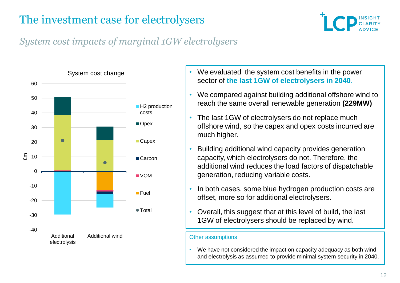

### *System cost impacts of marginal 1GW electrolysers*



- We evaluated the system cost benefits in the power sector of **the last 1GW of electrolysers in 2040**.
- We compared against building additional offshore wind to reach the same overall renewable generation **(229MW)**
- The last 1GW of electrolysers do not replace much offshore wind, so the capex and opex costs incurred are much higher.
- Building additional wind capacity provides generation capacity, which electrolysers do not. Therefore, the additional wind reduces the load factors of dispatchable generation, reducing variable costs.
- In both cases, some blue hydrogen production costs are offset, more so for additional electrolysers.
- Overall, this suggest that at this level of build, the last 1GW of electrolysers should be replaced by wind.

#### Other assumptions

• We have not considered the impact on capacity adequacy as both wind and electrolysis as assumed to provide minimal system security in 2040.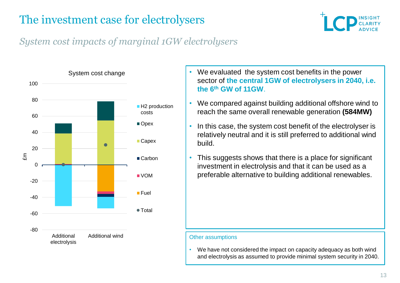

### *System cost impacts of marginal 1GW electrolysers*



- We evaluated the system cost benefits in the power sector of **the central 1GW of electrolysers in 2040, i.e. the 6th GW of 11GW**.
- We compared against building additional offshore wind to reach the same overall renewable generation **(584MW)**
- In this case, the system cost benefit of the electrolyser is relatively neutral and it is still preferred to additional wind build.
- This suggests shows that there is a place for significant investment in electrolysis and that it can be used as a preferable alternative to building additional renewables.

#### Other assumptions

• We have not considered the impact on capacity adequacy as both wind and electrolysis as assumed to provide minimal system security in 2040.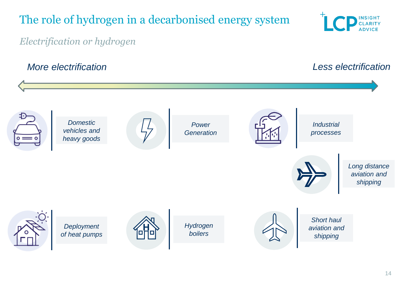## The role of hydrogen in a decarbonised energy system



*Electrification or hydrogen*

#### *More electrification Less electrification*